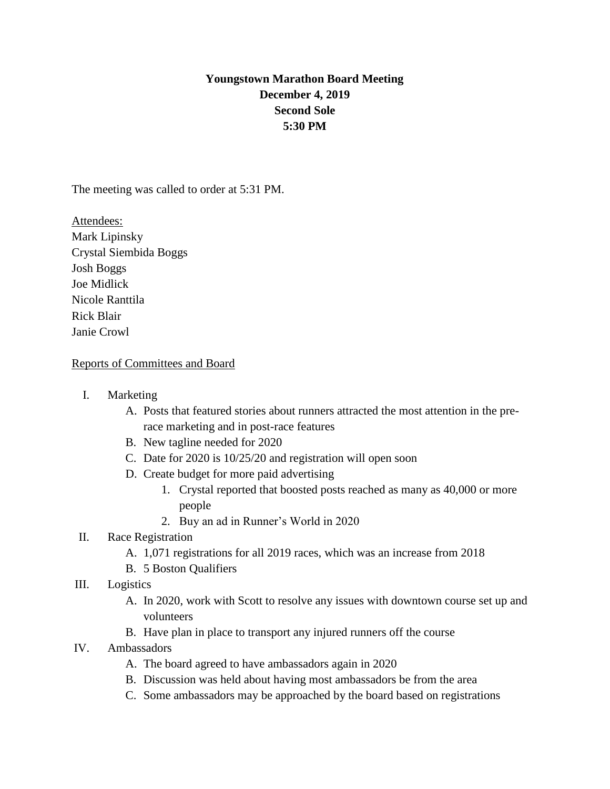# **Youngstown Marathon Board Meeting December 4, 2019 Second Sole 5:30 PM**

The meeting was called to order at 5:31 PM.

Attendees: Mark Lipinsky Crystal Siembida Boggs Josh Boggs Joe Midlick Nicole Ranttila Rick Blair Janie Crowl

#### Reports of Committees and Board

- I. Marketing
	- A. Posts that featured stories about runners attracted the most attention in the prerace marketing and in post-race features
	- B. New tagline needed for 2020
	- C. Date for 2020 is 10/25/20 and registration will open soon
	- D. Create budget for more paid advertising
		- 1. Crystal reported that boosted posts reached as many as 40,000 or more people
		- 2. Buy an ad in Runner's World in 2020

### II. Race Registration

- A. 1,071 registrations for all 2019 races, which was an increase from 2018
- B. 5 Boston Qualifiers
- III. Logistics
	- A. In 2020, work with Scott to resolve any issues with downtown course set up and volunteers
	- B. Have plan in place to transport any injured runners off the course
- IV. Ambassadors
	- A. The board agreed to have ambassadors again in 2020
	- B. Discussion was held about having most ambassadors be from the area
	- C. Some ambassadors may be approached by the board based on registrations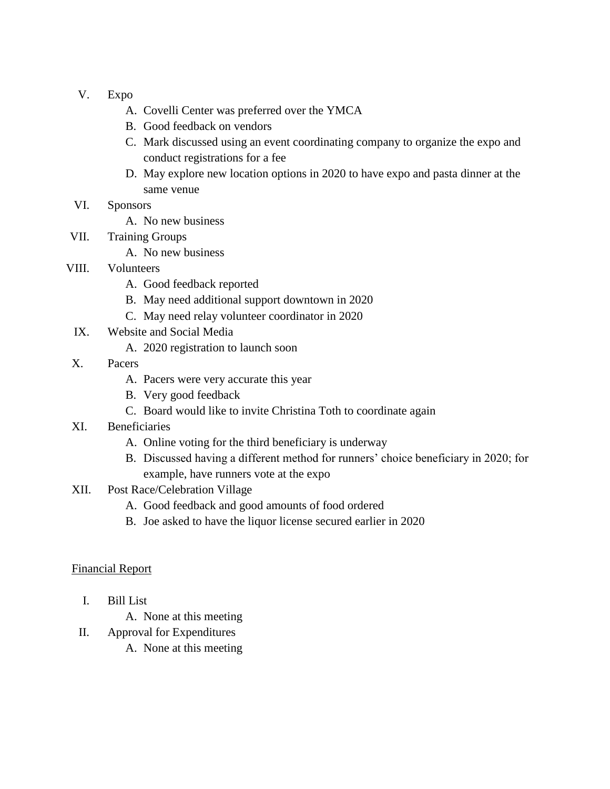- V. Expo
	- A. Covelli Center was preferred over the YMCA
	- B. Good feedback on vendors
	- C. Mark discussed using an event coordinating company to organize the expo and conduct registrations for a fee
	- D. May explore new location options in 2020 to have expo and pasta dinner at the same venue
- VI. Sponsors
	- A. No new business
- VII. Training Groups
	- A. No new business
- VIII. Volunteers
	- A. Good feedback reported
	- B. May need additional support downtown in 2020
	- C. May need relay volunteer coordinator in 2020
	- IX. Website and Social Media
		- A. 2020 registration to launch soon
- X. Pacers
	- A. Pacers were very accurate this year
	- B. Very good feedback
	- C. Board would like to invite Christina Toth to coordinate again
- XI. Beneficiaries
	- A. Online voting for the third beneficiary is underway
	- B. Discussed having a different method for runners' choice beneficiary in 2020; for example, have runners vote at the expo
- XII. Post Race/Celebration Village
	- A. Good feedback and good amounts of food ordered
	- B. Joe asked to have the liquor license secured earlier in 2020

#### Financial Report

- I. Bill List
	- A. None at this meeting
- II. Approval for Expenditures
	- A. None at this meeting